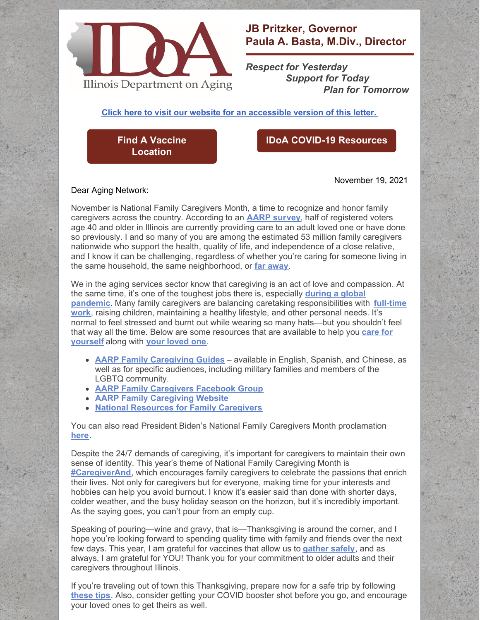

## **JB Pritzker, Governor Paula A. Basta, M.Div., Director**

*Respect for Yesterday Support for Today Plan for Tomorrow*

**Click here to visit our website for an [accessible](https://www2.illinois.gov/aging/AboutUs/Pages/Messages-from-the-Director.aspx) version of this letter.**

**Find A Vaccine [Location](https://coronavirus.illinois.gov/s/vaccination-location)**

## **IDoA COVID-19 [Resources](https://www2.illinois.gov/aging/Coronavirus/Vaccine/Pages/default.aspx)**

Dear Aging Network:

November 19, 2021

November is National Family Caregivers Month, a time to recognize and honor family caregivers across the country. According to an **[AARP](https://www.aarp.org/content/dam/aarp/research/surveys_statistics/ltc/2018/caregiving-survey-illinois-family-caregiver-profile.doi.10.26419-2Fres.00259.053.pdf) su[rvey](https://www.aarp.org/content/dam/aarp/research/surveys_statistics/ltc/2018/caregiving-survey-illinois-family-caregiver-profile.doi.10.26419-2Fres.00259.053.pdf)**, half of registered voters age 40 and older in Illinois are currently providing care to an adult loved one or have done so previously. I and so many of you are among the estimated 53 million family caregivers nationwide who support the health, quality of life, and independence of a close relative, and I know it can be challenging, regardless of whether you're caring for someone living in the same household, the same neighborhood, or **far [away](https://www.caregiveraction.org/i-dont-live-my-family-im-caregiver)**.

We in the aging services sector know that caregiving is an act of love and compassion. At the same time, it's one of the toughest jobs there is, especially **during a global pandemic**. Many family caregivers are balancing caretaking [responsibilities](https://www.caregiveraction.org/i-have-job-and-im-caregiver-my-loved-one) with **full-time work**, raising children, maintaining a healthy lifestyle, and other personal needs. It's normal to feel stressed and burnt out while wearing so many hats—but you shouldn't feel that way all the time. Below are some [resources](https://www.caregiver.org/caregiver-resources/caring-for-yourself/) that are available to help you **care for yourself** along with **your [loved](https://www.caregiver.org/caregiver-resources/caring-for-another/) one**.

- **AARP Family [Caregiving](https://www.aarp.org/caregiving/prepare-to-care-planning-guide/?cmp=RDRCT-P2C-CAREGIVING-VANITY) Guides** available in English, Spanish, and Chinese, as well as for specific audiences, including military families and members of the LGBTQ community.
- **AARP Family [Caregivers](https://www.facebook.com/groups/ aarpfamilycaregivers) Facebook Group**
- **AARP Family [Caregiving](https://www.aarp.org/caregiving/) Website**
- **National Resources for Family [Caregivers](https://www.aarp.org/caregiving/local/info-2019/national-resources-for-caregivers.html?cmp=RDRCT-9f9c190c-20210202)**

You can also read President Biden's National Family Caregivers Month proclamation **[here](https://www.whitehouse.gov/briefing-room/presidential-actions/2021/10/29/a-proclamation-on-national-family-caregivers-month-2021/)**.

Despite the 24/7 demands of caregiving, it's important for caregivers to maintain their own sense of identity. This year's theme of National Family Caregiving Month is **[#CaregiverAnd](https://www.caregiveraction.org/caregiverand)**, which encourages family caregivers to celebrate the passions that enrich their lives. Not only for caregivers but for everyone, making time for your interests and hobbies can help you avoid burnout. I know it's easier said than done with shorter days, colder weather, and the busy holiday season on the horizon, but it's incredibly important. As the saying goes, you can't pour from an empty cup.

Speaking of pouring—wine and gravy, that is—Thanksgiving is around the corner, and I hope you're looking forward to spending quality time with family and friends over the next few days. This year, I am grateful for vaccines that allow us to **[gather](https://dph.illinois.gov/covid19/community-guidance/holiday-season-safety.html) safely**, and as always, I am grateful for YOU! Thank you for your commitment to older adults and their caregivers throughout Illinois.

If you're traveling out of town this Thanksgiving, prepare now for a safe trip by following **[these](https://www.aarp.org/travel/travel-tips/transportation/info-2021/holiday-travel-tips.html) tips**. Also, consider getting your COVID booster shot before you go, and encourage your loved ones to get theirs as well.